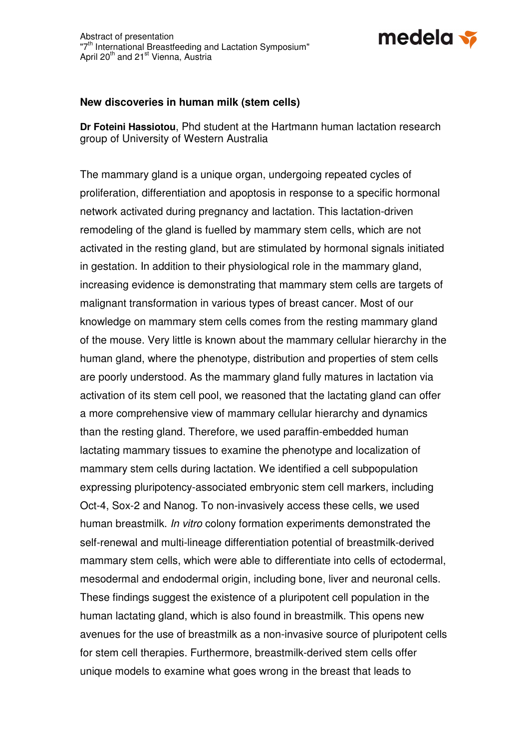

## **New discoveries in human milk (stem cells)**

**Dr Foteini Hassiotou**, Phd student at the Hartmann human lactation research group of University of Western Australia

The mammary gland is a unique organ, undergoing repeated cycles of proliferation, differentiation and apoptosis in response to a specific hormonal network activated during pregnancy and lactation. This lactation-driven remodeling of the gland is fuelled by mammary stem cells, which are not activated in the resting gland, but are stimulated by hormonal signals initiated in gestation. In addition to their physiological role in the mammary gland, increasing evidence is demonstrating that mammary stem cells are targets of malignant transformation in various types of breast cancer. Most of our knowledge on mammary stem cells comes from the resting mammary gland of the mouse. Very little is known about the mammary cellular hierarchy in the human gland, where the phenotype, distribution and properties of stem cells are poorly understood. As the mammary gland fully matures in lactation via activation of its stem cell pool, we reasoned that the lactating gland can offer a more comprehensive view of mammary cellular hierarchy and dynamics than the resting gland. Therefore, we used paraffin-embedded human lactating mammary tissues to examine the phenotype and localization of mammary stem cells during lactation. We identified a cell subpopulation expressing pluripotency-associated embryonic stem cell markers, including Oct-4, Sox-2 and Nanog. To non-invasively access these cells, we used human breastmilk. In vitro colony formation experiments demonstrated the self-renewal and multi-lineage differentiation potential of breastmilk-derived mammary stem cells, which were able to differentiate into cells of ectodermal, mesodermal and endodermal origin, including bone, liver and neuronal cells. These findings suggest the existence of a pluripotent cell population in the human lactating gland, which is also found in breastmilk. This opens new avenues for the use of breastmilk as a non-invasive source of pluripotent cells for stem cell therapies. Furthermore, breastmilk-derived stem cells offer unique models to examine what goes wrong in the breast that leads to